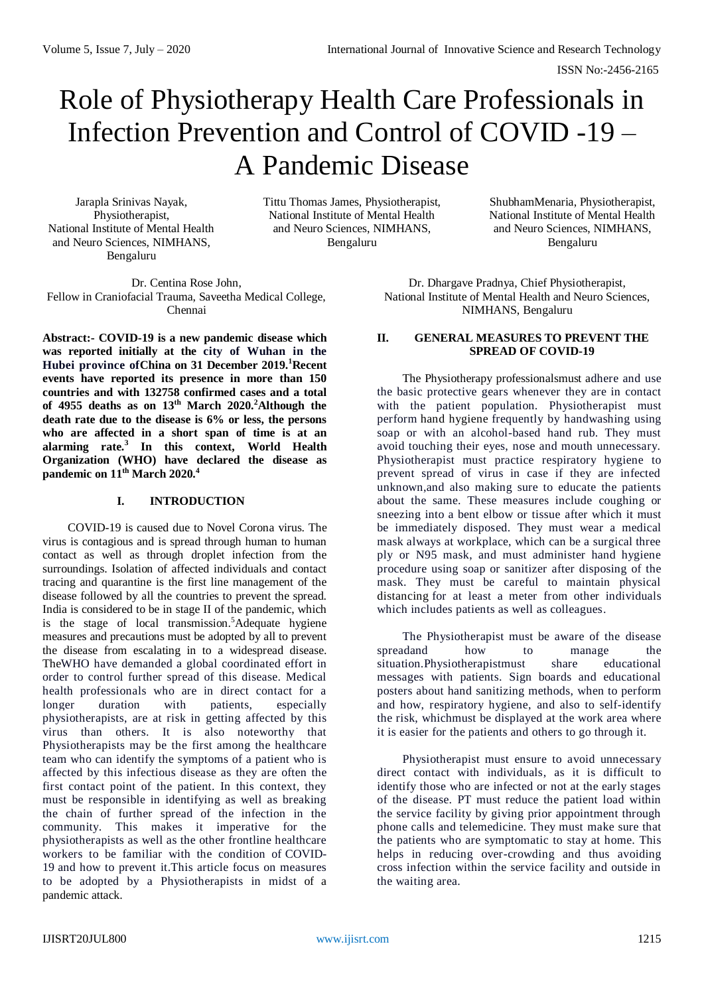ISSN No:-2456-2165

# Role of Physiotherapy Health Care Professionals in Infection Prevention and Control of COVID -19 – A Pandemic Disease

Jarapla Srinivas Nayak, Physiotherapist, National Institute of Mental Health and Neuro Sciences, NIMHANS, Bengaluru

Tittu Thomas James, Physiotherapist, National Institute of Mental Health and Neuro Sciences, NIMHANS, Bengaluru

ShubhamMenaria, Physiotherapist, National Institute of Mental Health and Neuro Sciences, NIMHANS, Bengaluru

Dr. Centina Rose John, Fellow in Craniofacial Trauma, Saveetha Medical College, Chennai

**Abstract:- COVID-19 is a new pandemic disease which was reported initially at the city of Wuhan in the Hubei province ofChina on 31 December 2019. <sup>1</sup>Recent events have reported its presence in more than 150 countries and with 132758 confirmed cases and a total of 4955 deaths as on 13th March 2020.<sup>2</sup>Although the death rate due to the disease is 6% or less, the persons who are affected in a short span of time is at an alarming rate.<sup>3</sup> In this context, World Health Organization (WHO) have declared the disease as pandemic on 11th March 2020.<sup>4</sup>**

## **I. INTRODUCTION**

COVID-19 is caused due to Novel Corona virus. The virus is contagious and is spread through human to human contact as well as through droplet infection from the surroundings. Isolation of affected individuals and contact tracing and quarantine is the first line management of the disease followed by all the countries to prevent the spread. India is considered to be in stage II of the pandemic, which is the stage of local transmission.<sup>5</sup>Adequate hygiene measures and precautions must be adopted by all to prevent the disease from escalating in to a widespread disease. TheWHO have demanded a global coordinated effort in order to control further spread of this disease. Medical health professionals who are in direct contact for a longer duration with patients, especially physiotherapists, are at risk in getting affected by this virus than others. It is also noteworthy that Physiotherapists may be the first among the healthcare team who can identify the symptoms of a patient who is affected by this infectious disease as they are often the first contact point of the patient. In this context, they must be responsible in identifying as well as breaking the chain of further spread of the infection in the community. This makes it imperative for the physiotherapists as well as the other frontline healthcare workers to be familiar with the condition of [COVID-](https://www.physio-pedia.com/Coronavirus_Disease_(COVID-19))[19](https://www.physio-pedia.com/Coronavirus_Disease_(COVID-19)) and how to prevent it.This article focus on measures to be adopted by a Physiotherapists in midst of a pandemic attack.

Dr. Dhargave Pradnya, Chief Physiotherapist, National Institute of Mental Health and Neuro Sciences, NIMHANS, Bengaluru

#### **II. GENERAL MEASURES TO PREVENT THE SPREAD OF COVID-19**

The Physiotherapy professionalsmust adhere and use the basic protective gears whenever they are in contact with the patient population. Physiotherapist must perform [hand hygiene](https://www.physio-pedia.com/Hand_Hygiene) frequently by handwashing using soap or with an alcohol-based hand rub. They must avoid touching their eyes, nose and mouth unnecessary. Physiotherapist must practice respiratory hygiene to prevent spread of virus in case if they are infected unknown,and also making sure to educate the patients about the same. These measures include coughing or sneezing into a bent elbow or tissue after which it must be immediately disposed. They must wear a medical mask always at workplace, which can be a surgical three ply or N95 mask, and must administer hand hygiene procedure using soap or sanitizer after disposing of the mask. They must be careful to maintain physical distancing for at least a meter from other individuals which includes patients as well as colleagues.

The Physiotherapist must be aware of the disease spreadand how to manage the situation.Physiotherapistmust share educational messages with patients. Sign boards and educational posters about hand sanitizing methods, when to perform and how, respiratory hygiene, and also to self-identify the risk, whichmust be displayed at the work area where it is easier for the patients and others to go through it.

Physiotherapist must ensure to avoid unnecessary direct contact with individuals, as it is difficult to identify those who are infected or not at the early stages of the disease. PT must reduce the patient load within the service facility by giving prior appointment through phone calls and telemedicine. They must make sure that the patients who are symptomatic to stay at home. This helps in reducing over-crowding and thus avoiding cross infection within the service facility and outside in the waiting area.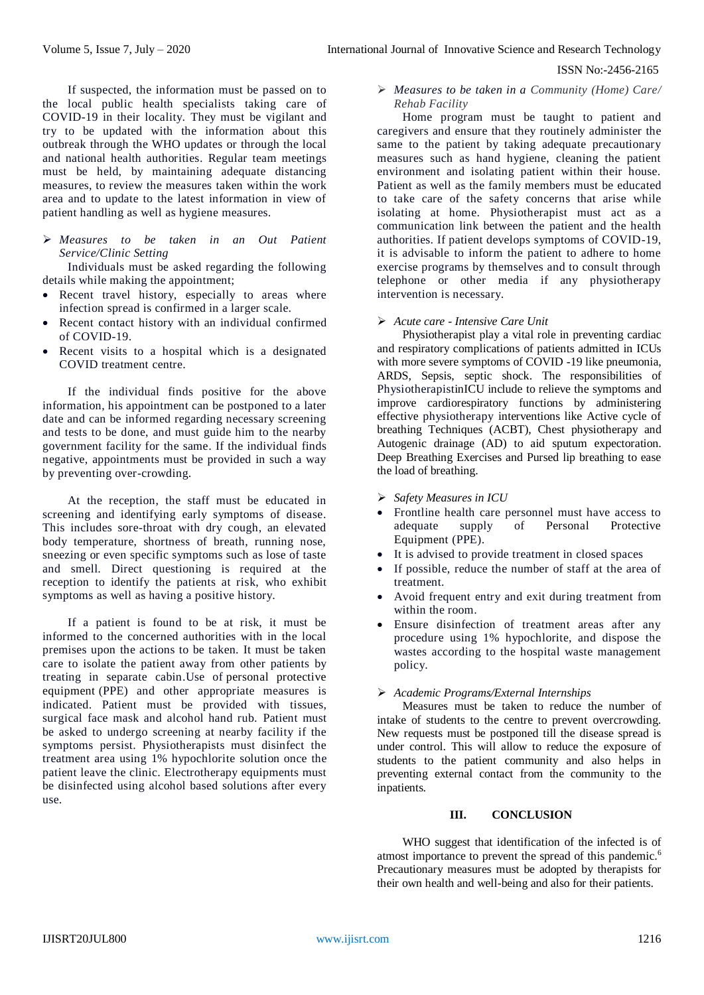ISSN No:-2456-2165

If suspected, the information must be passed on to the local public health specialists taking care of COVID-19 in their locality. They must be vigilant and try to be updated with the information about this outbreak through the WHO updates or through the local and national health authorities. Regular team meetings must be held, by maintaining adequate distancing measures, to review the measures taken within the work area and to update to the latest information in view of patient handling as well as hygiene measures.

 *Measures to be taken in an Out Patient Service/Clinic Setting*

Individuals must be asked regarding the following details while making the appointment;

- Recent travel history, especially to areas where infection spread is confirmed in a larger scale.
- Recent contact history with an individual confirmed of COVID-19.
- Recent visits to a hospital which is a designated COVID treatment centre.

If the individual finds positive for the above information, his appointment can be postponed to a later date and can be informed regarding necessary screening and tests to be done, and must guide him to the nearby government facility for the same. If the individual finds negative, appointments must be provided in such a way by preventing over-crowding.

At the reception, the staff must be educated in screening and identifying early symptoms of disease. This includes sore-throat with dry cough, an elevated body temperature, shortness of breath, running nose, sneezing or even specific symptoms such as lose of taste and smell. Direct questioning is required at the reception to identify the patients at risk, who exhibit symptoms as well as having a positive history.

If a patient is found to be at risk, it must be informed to the concerned authorities with in the local premises upon the actions to be taken. It must be taken care to isolate the patient away from other patients by treating in separate cabin.Use of personal protective equipment (PPE) and other appropriate measures is indicated. Patient must be provided with tissues, surgical face mask and alcohol hand rub. Patient must be asked to undergo screening at nearby facility if the symptoms persist. Physiotherapists must disinfect the treatment area using 1% hypochlorite solution once the patient leave the clinic. Electrotherapy equipments must be disinfected using alcohol based solutions after every use.

## *Measures to be taken in a Community (Home) Care/ Rehab Facility*

Home program must be taught to patient and caregivers and ensure that they routinely administer the same to the patient by taking adequate precautionary measures such as hand hygiene, cleaning the patient environment and isolating patient within their house. Patient as well as the family members must be educated to take care of the safety concerns that arise while isolating at home. Physiotherapist must act as a communication link between the patient and the health authorities. If patient develops symptoms of COVID-19, it is advisable to inform the patient to adhere to home exercise programs by themselves and to consult through telephone or other media if any physiotherapy intervention is necessary.

### *Acute care - Intensive Care Unit*

Physiotherapist play a vital role in preventing cardiac and respiratory complications of patients admitted in ICUs with more severe symptoms of COVID -19 like pneumonia, ARDS, Sepsis, septic shock. The responsibilities of PhysiotherapistinICU include to relieve the symptoms and improve cardiorespiratory functions by administering effective physiotherapy interventions like Active cycle of breathing Techniques (ACBT), Chest physiotherapy and Autogenic drainage (AD) to aid sputum expectoration. Deep Breathing Exercises and Pursed lip breathing to ease the load of breathing.

- *Safety Measures in ICU*
- Frontline health care personnel must have access to adequate supply of Personal Protective Equipment (PPE).
- It is advised to provide treatment in closed spaces
- If possible, reduce the number of staff at the area of treatment.
- Avoid frequent entry and exit during treatment from within the room.
- Ensure disinfection of treatment areas after any procedure using 1% hypochlorite, and dispose the wastes according to the hospital waste management policy.

### *Academic Programs/External Internships*

Measures must be taken to reduce the number of intake of students to the centre to prevent overcrowding. New requests must be postponed till the disease spread is under control. This will allow to reduce the exposure of students to the patient community and also helps in preventing external contact from the community to the inpatients.

#### **III. CONCLUSION**

WHO suggest that identification of the infected is of atmost importance to prevent the spread of this pandemic.<sup>6</sup> Precautionary measures must be adopted by therapists for their own health and well-being and also for their patients.